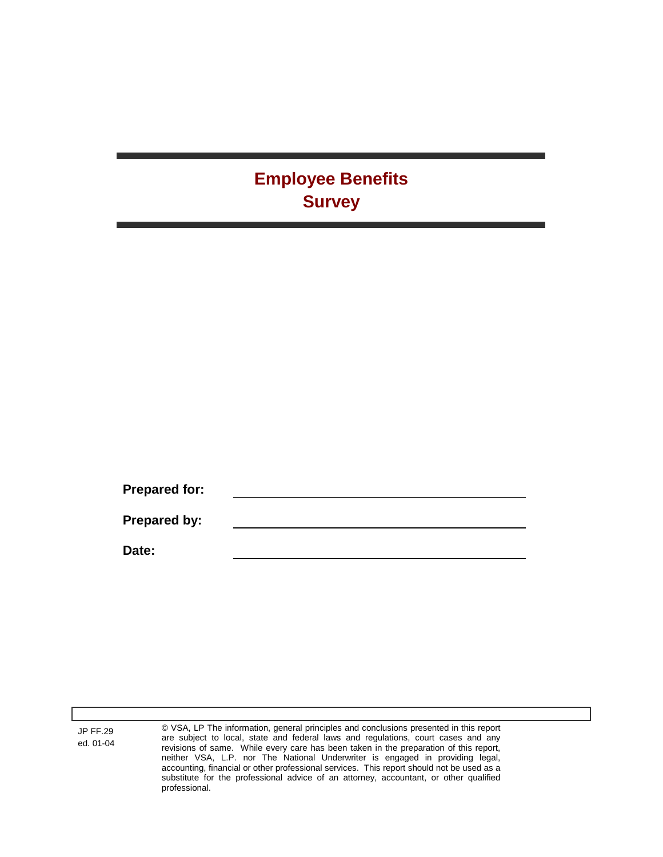## **Employee Benefits Survey**

**Prepared for: Prepared by: Date:**

JP FF.29 ed. 01-04 © VSA, LP The information, general principles and conclusions presented in this report are subject to local, state and federal laws and regulations, court cases and any revisions of same. While every care has been taken in the preparation of this report, neither VSA, L.P. nor The National Underwriter is engaged in providing legal, accounting, financial or other professional services. This report should not be used as a substitute for the professional advice of an attorney, accountant, or other qualified professional.